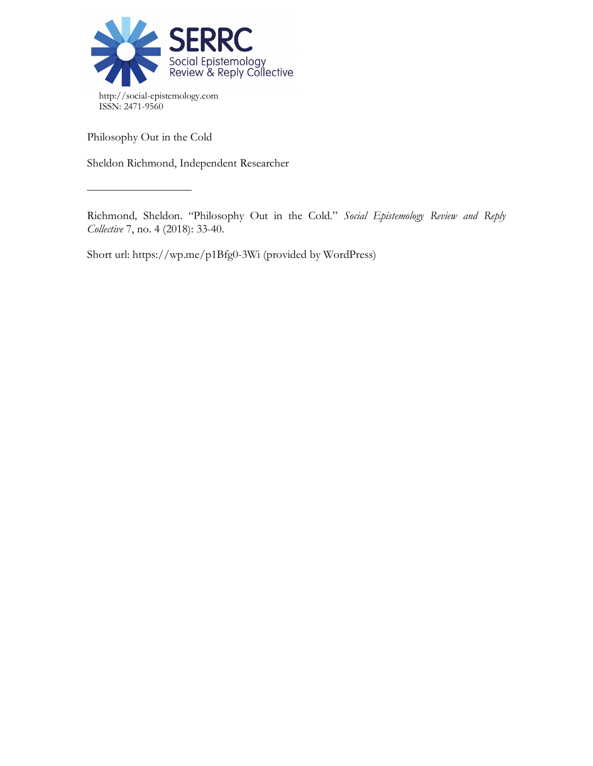

Philosophy Out in the Cold

 $\frac{\frac{1}{2}+\frac{1}{2}-\frac{1}{2}-\frac{1}{2}-\frac{1}{2}-\frac{1}{2}-\frac{1}{2}-\frac{1}{2}-\frac{1}{2}-\frac{1}{2}-\frac{1}{2}-\frac{1}{2}-\frac{1}{2}-\frac{1}{2}-\frac{1}{2}-\frac{1}{2}-\frac{1}{2}-\frac{1}{2}-\frac{1}{2}-\frac{1}{2}-\frac{1}{2}-\frac{1}{2}-\frac{1}{2}-\frac{1}{2}-\frac{1}{2}-\frac{1}{2}-\frac{1}{2}-\frac{1}{2}-\frac{1}{2}-\frac{1}{2}-\frac{1}{2}-\$ 

Sheldon Richmond, Independent Researcher

Richmond, Sheldon. "Philosophy Out in the Cold." *Social Epistemology Review and Reply Collective* 7, no. 4 (2018): 33-40.

Short url: https://wp.me/p1Bfg0-3Wi (provided by WordPress)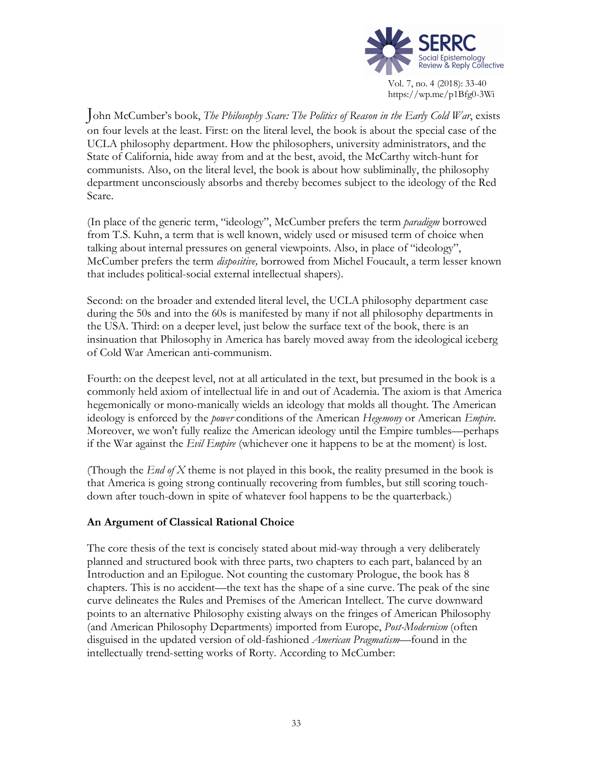

John McCumber's book, *The Philosophy Scare: The Politics of Reason in the Early Cold War*, exists on four levels at the least. First: on the literal level, the book is about the special case of the UCLA philosophy department. How the philosophers, university administrators, and the State of California, hide away from and at the best, avoid, the McCarthy witch-hunt for communists. Also, on the literal level, the book is about how subliminally, the philosophy department unconsciously absorbs and thereby becomes subject to the ideology of the Red Scare.

(In place of the generic term, "ideology", McCumber prefers the term *paradigm* borrowed from T.S. Kuhn, a term that is well known, widely used or misused term of choice when talking about internal pressures on general viewpoints. Also, in place of "ideology", McCumber prefers the term *dispositive,* borrowed from Michel Foucault, a term lesser known that includes political-social external intellectual shapers).

Second: on the broader and extended literal level, the UCLA philosophy department case during the 50s and into the 60s is manifested by many if not all philosophy departments in the USA. Third: on a deeper level, just below the surface text of the book, there is an insinuation that Philosophy in America has barely moved away from the ideological iceberg of Cold War American anti-communism.

Fourth: on the deepest level, not at all articulated in the text, but presumed in the book is a commonly held axiom of intellectual life in and out of Academia. The axiom is that America hegemonically or mono-manically wields an ideology that molds all thought. The American ideology is enforced by the *power* conditions of the American *Hegemony* or American *Empire.* Moreover, we won't fully realize the American ideology until the Empire tumbles—perhaps if the War against the *Evil Empire* (whichever one it happens to be at the moment) is lost.

(Though the *End of X* theme is not played in this book, the reality presumed in the book is that America is going strong continually recovering from fumbles, but still scoring touchdown after touch-down in spite of whatever fool happens to be the quarterback.)

## **An Argument of Classical Rational Choice**

The core thesis of the text is concisely stated about mid-way through a very deliberately planned and structured book with three parts, two chapters to each part, balanced by an Introduction and an Epilogue. Not counting the customary Prologue, the book has 8 chapters. This is no accident—the text has the shape of a sine curve. The peak of the sine curve delineates the Rules and Premises of the American Intellect. The curve downward points to an alternative Philosophy existing always on the fringes of American Philosophy (and American Philosophy Departments) imported from Europe, *Post-Modernism* (often disguised in the updated version of old-fashioned *American Pragmatism—*found in the intellectually trend-setting works of Rorty. According to McCumber: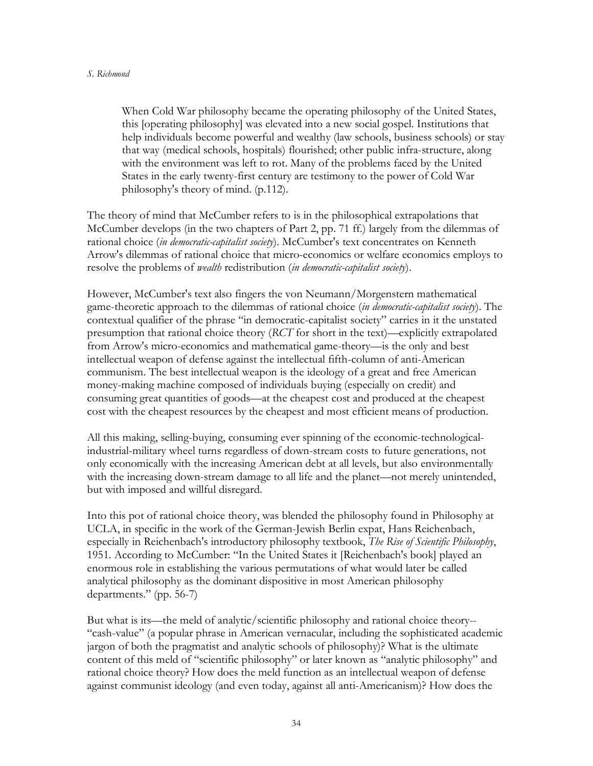When Cold War philosophy became the operating philosophy of the United States, this [operating philosophy] was elevated into a new social gospel. Institutions that help individuals become powerful and wealthy (law schools, business schools) or stay that way (medical schools, hospitals) flourished; other public infra-structure, along with the environment was left to rot. Many of the problems faced by the United States in the early twenty-first century are testimony to the power of Cold War philosophy's theory of mind. (p.112).

The theory of mind that McCumber refers to is in the philosophical extrapolations that McCumber develops (in the two chapters of Part 2, pp. 71 ff.) largely from the dilemmas of rational choice (*in democratic-capitalist society*). McCumber's text concentrates on Kenneth Arrow's dilemmas of rational choice that micro-economics or welfare economics employs to resolve the problems of *wealth* redistribution (*in democratic-capitalist society*).

However, McCumber's text also fingers the von Neumann/Morgenstern mathematical game-theoretic approach to the dilemmas of rational choice (*in democratic-capitalist society*). The contextual qualifier of the phrase "in democratic-capitalist society" carries in it the unstated presumption that rational choice theory (*RCT* for short in the text)—explicitly extrapolated from Arrow's micro-economics and mathematical game-theory—is the only and best intellectual weapon of defense against the intellectual fifth-column of anti-American communism. The best intellectual weapon is the ideology of a great and free American money-making machine composed of individuals buying (especially on credit) and consuming great quantities of goods—at the cheapest cost and produced at the cheapest cost with the cheapest resources by the cheapest and most efficient means of production.

All this making, selling-buying, consuming ever spinning of the economic-technologicalindustrial-military wheel turns regardless of down-stream costs to future generations, not only economically with the increasing American debt at all levels, but also environmentally with the increasing down-stream damage to all life and the planet—not merely unintended, but with imposed and willful disregard.

Into this pot of rational choice theory, was blended the philosophy found in Philosophy at UCLA, in specific in the work of the German-Jewish Berlin expat, Hans Reichenbach, especially in Reichenbach's introductory philosophy textbook, *The Rise of Scientific Philosophy*, 1951. According to McCumber: "In the United States it [Reichenbach's book] played an enormous role in establishing the various permutations of what would later be called analytical philosophy as the dominant dispositive in most American philosophy departments." (pp. 56-7)

But what is its—the meld of analytic/scientific philosophy and rational choice theory-- "cash-value" (a popular phrase in American vernacular, including the sophisticated academic jargon of both the pragmatist and analytic schools of philosophy)? What is the ultimate content of this meld of "scientific philosophy" or later known as "analytic philosophy" and rational choice theory? How does the meld function as an intellectual weapon of defense against communist ideology (and even today, against all anti-Americanism)? How does the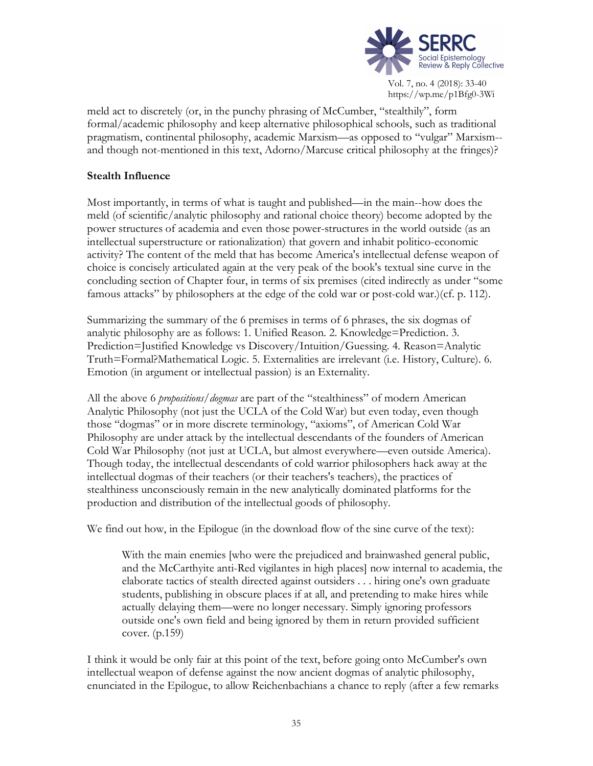

https://wp.me/p1Bfg0-3Wi

meld act to discretely (or, in the punchy phrasing of McCumber, "stealthily", form formal/academic philosophy and keep alternative philosophical schools, such as traditional pragmatism, continental philosophy, academic Marxism—as opposed to "vulgar" Marxism- and though not-mentioned in this text, Adorno/Marcuse critical philosophy at the fringes)?

# **Stealth Influence**

Most importantly, in terms of what is taught and published—in the main--how does the meld (of scientific/analytic philosophy and rational choice theory) become adopted by the power structures of academia and even those power-structures in the world outside (as an intellectual superstructure or rationalization) that govern and inhabit politico-economic activity? The content of the meld that has become America's intellectual defense weapon of choice is concisely articulated again at the very peak of the book's textual sine curve in the concluding section of Chapter four, in terms of six premises (cited indirectly as under "some famous attacks" by philosophers at the edge of the cold war or post-cold war.)(cf. p. 112).

Summarizing the summary of the 6 premises in terms of 6 phrases, the six dogmas of analytic philosophy are as follows: 1. Unified Reason. 2. Knowledge=Prediction. 3. Prediction=Justified Knowledge vs Discovery/Intuition/Guessing. 4. Reason=Analytic Truth=Formal?Mathematical Logic. 5. Externalities are irrelevant (i.e. History, Culture). 6. Emotion (in argument or intellectual passion) is an Externality.

All the above 6 *propositions/dogmas* are part of the "stealthiness" of modern American Analytic Philosophy (not just the UCLA of the Cold War) but even today, even though those "dogmas" or in more discrete terminology, "axioms", of American Cold War Philosophy are under attack by the intellectual descendants of the founders of American Cold War Philosophy (not just at UCLA, but almost everywhere—even outside America). Though today, the intellectual descendants of cold warrior philosophers hack away at the intellectual dogmas of their teachers (or their teachers's teachers), the practices of stealthiness unconsciously remain in the new analytically dominated platforms for the production and distribution of the intellectual goods of philosophy.

We find out how, in the Epilogue (in the download flow of the sine curve of the text):

With the main enemies [who were the prejudiced and brainwashed general public, and the McCarthyite anti-Red vigilantes in high places] now internal to academia, the elaborate tactics of stealth directed against outsiders . . . hiring one's own graduate students, publishing in obscure places if at all, and pretending to make hires while actually delaying them—were no longer necessary. Simply ignoring professors outside one's own field and being ignored by them in return provided sufficient cover. (p.159)

I think it would be only fair at this point of the text, before going onto McCumber's own intellectual weapon of defense against the now ancient dogmas of analytic philosophy, enunciated in the Epilogue, to allow Reichenbachians a chance to reply (after a few remarks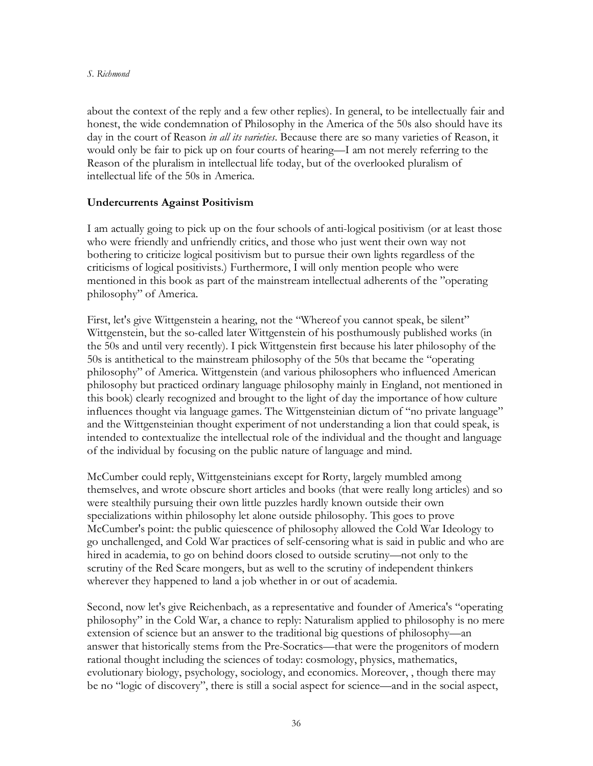about the context of the reply and a few other replies). In general, to be intellectually fair and honest, the wide condemnation of Philosophy in the America of the 50s also should have its day in the court of Reason *in all its varieties*. Because there are so many varieties of Reason, it would only be fair to pick up on four courts of hearing—I am not merely referring to the Reason of the pluralism in intellectual life today, but of the overlooked pluralism of intellectual life of the 50s in America.

## **Undercurrents Against Positivism**

I am actually going to pick up on the four schools of anti-logical positivism (or at least those who were friendly and unfriendly critics, and those who just went their own way not bothering to criticize logical positivism but to pursue their own lights regardless of the criticisms of logical positivists.) Furthermore, I will only mention people who were mentioned in this book as part of the mainstream intellectual adherents of the "operating philosophy" of America.

First, let's give Wittgenstein a hearing, not the "Whereof you cannot speak, be silent" Wittgenstein, but the so-called later Wittgenstein of his posthumously published works (in the 50s and until very recently). I pick Wittgenstein first because his later philosophy of the 50s is antithetical to the mainstream philosophy of the 50s that became the "operating philosophy" of America. Wittgenstein (and various philosophers who influenced American philosophy but practiced ordinary language philosophy mainly in England, not mentioned in this book) clearly recognized and brought to the light of day the importance of how culture influences thought via language games. The Wittgensteinian dictum of "no private language" and the Wittgensteinian thought experiment of not understanding a lion that could speak, is intended to contextualize the intellectual role of the individual and the thought and language of the individual by focusing on the public nature of language and mind.

McCumber could reply, Wittgensteinians except for Rorty, largely mumbled among themselves, and wrote obscure short articles and books (that were really long articles) and so were stealthily pursuing their own little puzzles hardly known outside their own specializations within philosophy let alone outside philosophy. This goes to prove McCumber's point: the public quiescence of philosophy allowed the Cold War Ideology to go unchallenged, and Cold War practices of self-censoring what is said in public and who are hired in academia, to go on behind doors closed to outside scrutiny—not only to the scrutiny of the Red Scare mongers, but as well to the scrutiny of independent thinkers wherever they happened to land a job whether in or out of academia.

Second, now let's give Reichenbach, as a representative and founder of America's "operating philosophy" in the Cold War, a chance to reply: Naturalism applied to philosophy is no mere extension of science but an answer to the traditional big questions of philosophy—an answer that historically stems from the Pre-Socratics—that were the progenitors of modern rational thought including the sciences of today: cosmology, physics, mathematics, evolutionary biology, psychology, sociology, and economics. Moreover, , though there may be no "logic of discovery", there is still a social aspect for science—and in the social aspect,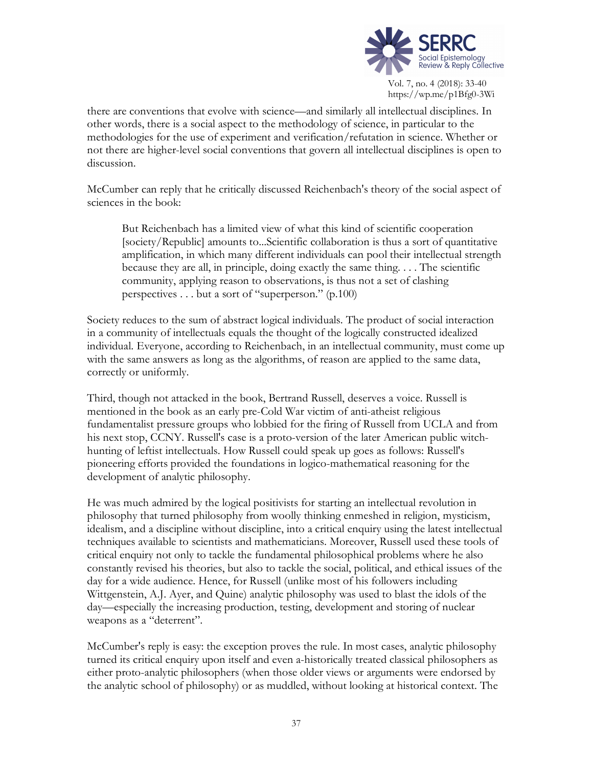

https://wp.me/p1Bfg0-3Wi

there are conventions that evolve with science—and similarly all intellectual disciplines. In other words, there is a social aspect to the methodology of science, in particular to the methodologies for the use of experiment and verification/refutation in science. Whether or not there are higher-level social conventions that govern all intellectual disciplines is open to discussion.

McCumber can reply that he critically discussed Reichenbach's theory of the social aspect of sciences in the book:

But Reichenbach has a limited view of what this kind of scientific cooperation [society/Republic] amounts to...Scientific collaboration is thus a sort of quantitative amplification, in which many different individuals can pool their intellectual strength because they are all, in principle, doing exactly the same thing. . . . The scientific community, applying reason to observations, is thus not a set of clashing perspectives . . . but a sort of "superperson." (p.100)

Society reduces to the sum of abstract logical individuals. The product of social interaction in a community of intellectuals equals the thought of the logically constructed idealized individual. Everyone, according to Reichenbach, in an intellectual community, must come up with the same answers as long as the algorithms, of reason are applied to the same data, correctly or uniformly.

Third, though not attacked in the book, Bertrand Russell, deserves a voice. Russell is mentioned in the book as an early pre-Cold War victim of anti-atheist religious fundamentalist pressure groups who lobbied for the firing of Russell from UCLA and from his next stop, CCNY. Russell's case is a proto-version of the later American public witchhunting of leftist intellectuals. How Russell could speak up goes as follows: Russell's pioneering efforts provided the foundations in logico-mathematical reasoning for the development of analytic philosophy.

He was much admired by the logical positivists for starting an intellectual revolution in philosophy that turned philosophy from woolly thinking enmeshed in religion, mysticism, idealism, and a discipline without discipline, into a critical enquiry using the latest intellectual techniques available to scientists and mathematicians. Moreover, Russell used these tools of critical enquiry not only to tackle the fundamental philosophical problems where he also constantly revised his theories, but also to tackle the social, political, and ethical issues of the day for a wide audience. Hence, for Russell (unlike most of his followers including Wittgenstein, A.J. Ayer, and Quine) analytic philosophy was used to blast the idols of the day—especially the increasing production, testing, development and storing of nuclear weapons as a "deterrent".

McCumber's reply is easy: the exception proves the rule. In most cases, analytic philosophy turned its critical enquiry upon itself and even a-historically treated classical philosophers as either proto-analytic philosophers (when those older views or arguments were endorsed by the analytic school of philosophy) or as muddled, without looking at historical context. The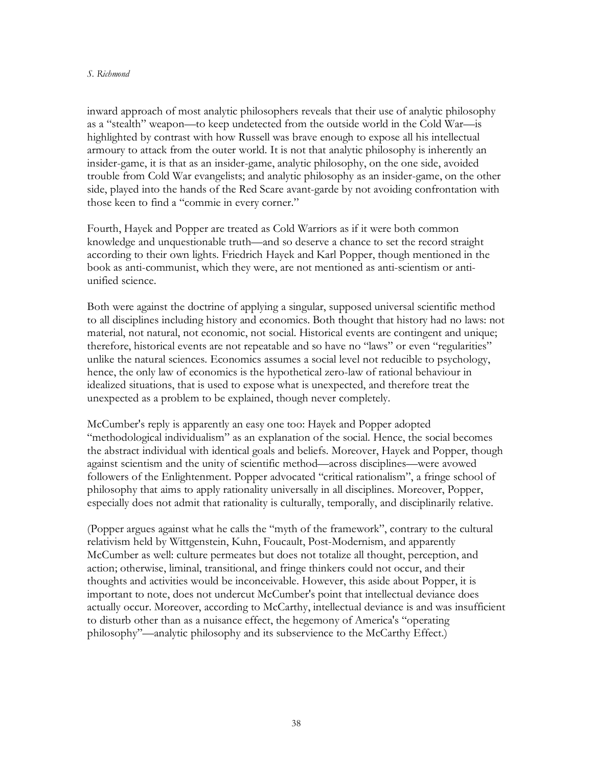#### *S. Richmond*

inward approach of most analytic philosophers reveals that their use of analytic philosophy as a "stealth" weapon—to keep undetected from the outside world in the Cold War—is highlighted by contrast with how Russell was brave enough to expose all his intellectual armoury to attack from the outer world. It is not that analytic philosophy is inherently an insider-game, it is that as an insider-game, analytic philosophy, on the one side, avoided trouble from Cold War evangelists; and analytic philosophy as an insider-game, on the other side, played into the hands of the Red Scare avant-garde by not avoiding confrontation with those keen to find a "commie in every corner."

Fourth, Hayek and Popper are treated as Cold Warriors as if it were both common knowledge and unquestionable truth—and so deserve a chance to set the record straight according to their own lights. Friedrich Hayek and Karl Popper, though mentioned in the book as anti-communist, which they were, are not mentioned as anti-scientism or antiunified science.

Both were against the doctrine of applying a singular, supposed universal scientific method to all disciplines including history and economics. Both thought that history had no laws: not material, not natural, not economic, not social. Historical events are contingent and unique; therefore, historical events are not repeatable and so have no "laws" or even "regularities" unlike the natural sciences. Economics assumes a social level not reducible to psychology, hence, the only law of economics is the hypothetical zero-law of rational behaviour in idealized situations, that is used to expose what is unexpected, and therefore treat the unexpected as a problem to be explained, though never completely.

McCumber's reply is apparently an easy one too: Hayek and Popper adopted "methodological individualism" as an explanation of the social. Hence, the social becomes the abstract individual with identical goals and beliefs. Moreover, Hayek and Popper, though against scientism and the unity of scientific method—across disciplines—were avowed followers of the Enlightenment. Popper advocated "critical rationalism", a fringe school of philosophy that aims to apply rationality universally in all disciplines. Moreover, Popper, especially does not admit that rationality is culturally, temporally, and disciplinarily relative.

(Popper argues against what he calls the "myth of the framework", contrary to the cultural relativism held by Wittgenstein, Kuhn, Foucault, Post-Modernism, and apparently McCumber as well: culture permeates but does not totalize all thought, perception, and action; otherwise, liminal, transitional, and fringe thinkers could not occur, and their thoughts and activities would be inconceivable. However, this aside about Popper, it is important to note, does not undercut McCumber's point that intellectual deviance does actually occur. Moreover, according to McCarthy, intellectual deviance is and was insufficient to disturb other than as a nuisance effect, the hegemony of America's "operating philosophy"—analytic philosophy and its subservience to the McCarthy Effect.)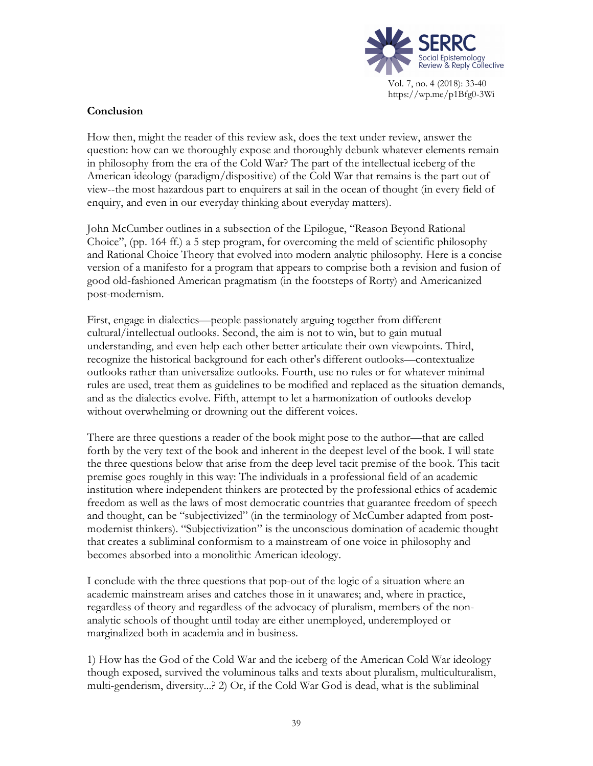

## **Conclusion**

How then, might the reader of this review ask, does the text under review, answer the question: how can we thoroughly expose and thoroughly debunk whatever elements remain in philosophy from the era of the Cold War? The part of the intellectual iceberg of the American ideology (paradigm/dispositive) of the Cold War that remains is the part out of view--the most hazardous part to enquirers at sail in the ocean of thought (in every field of enquiry, and even in our everyday thinking about everyday matters).

John McCumber outlines in a subsection of the Epilogue, "Reason Beyond Rational Choice", (pp. 164 ff.) a 5 step program, for overcoming the meld of scientific philosophy and Rational Choice Theory that evolved into modern analytic philosophy. Here is a concise version of a manifesto for a program that appears to comprise both a revision and fusion of good old-fashioned American pragmatism (in the footsteps of Rorty) and Americanized post-modernism.

First, engage in dialectics—people passionately arguing together from different cultural/intellectual outlooks. Second, the aim is not to win, but to gain mutual understanding, and even help each other better articulate their own viewpoints. Third, recognize the historical background for each other's different outlooks—contextualize outlooks rather than universalize outlooks. Fourth, use no rules or for whatever minimal rules are used, treat them as guidelines to be modified and replaced as the situation demands, and as the dialectics evolve. Fifth, attempt to let a harmonization of outlooks develop without overwhelming or drowning out the different voices.

There are three questions a reader of the book might pose to the author—that are called forth by the very text of the book and inherent in the deepest level of the book. I will state the three questions below that arise from the deep level tacit premise of the book. This tacit premise goes roughly in this way: The individuals in a professional field of an academic institution where independent thinkers are protected by the professional ethics of academic freedom as well as the laws of most democratic countries that guarantee freedom of speech and thought, can be "subjectivized" (in the terminology of McCumber adapted from postmodernist thinkers). "Subjectivization" is the unconscious domination of academic thought that creates a subliminal conformism to a mainstream of one voice in philosophy and becomes absorbed into a monolithic American ideology.

I conclude with the three questions that pop-out of the logic of a situation where an academic mainstream arises and catches those in it unawares; and, where in practice, regardless of theory and regardless of the advocacy of pluralism, members of the nonanalytic schools of thought until today are either unemployed, underemployed or marginalized both in academia and in business.

1) How has the God of the Cold War and the iceberg of the American Cold War ideology though exposed, survived the voluminous talks and texts about pluralism, multiculturalism, multi-genderism, diversity...? 2) Or, if the Cold War God is dead, what is the subliminal